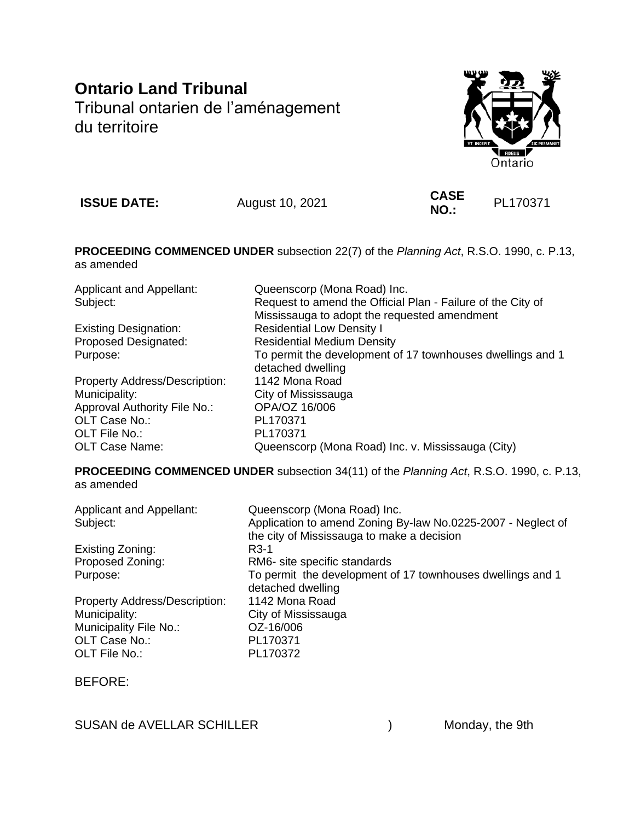# **Ontario Land Tribunal** Tribunal ontarien de l'aménagement du territoire



**ISSUE DATE:** August 10, 2021 **CASE** 

**NO.:** PL170371

**PROCEEDING COMMENCED UNDER** subsection 22(7) of the *Planning Act*, R.S.O. 1990, c. P.13, as amended

Applicant and Appellant: Queenscorp (Mona Road) Inc.

Property Address/Description: 1142 Mona Road Municipality: City of Mississauga Approval Authority File No.: OPA/OZ 16/006 OLT Case No.: PL170371 OLT File No.: PL170371

Subject: Request to amend the Official Plan - Failure of the City of Mississauga to adopt the requested amendment Existing Designation: Residential Low Density I Proposed Designated: Residential Medium Density Purpose: To permit the development of 17 townhouses dwellings and 1 detached dwelling OLT Case Name: Queenscorp (Mona Road) Inc. v. Mississauga (City)

**PROCEEDING COMMENCED UNDER** subsection 34(11) of the *Planning Act*, R.S.O. 1990, c. P.13, as amended

| <b>Applicant and Appellant:</b><br>Subject: | Queenscorp (Mona Road) Inc.<br>Application to amend Zoning By-law No.0225-2007 - Neglect of |
|---------------------------------------------|---------------------------------------------------------------------------------------------|
|                                             | the city of Mississauga to make a decision                                                  |
| Existing Zoning:                            | R3-1                                                                                        |
| Proposed Zoning:                            | RM6- site specific standards                                                                |
| Purpose:                                    | To permit the development of 17 townhouses dwellings and 1                                  |
|                                             | detached dwelling                                                                           |
| <b>Property Address/Description:</b>        | 1142 Mona Road                                                                              |
| Municipality:                               | City of Mississauga                                                                         |
| Municipality File No.:                      | OZ-16/006                                                                                   |
| OLT Case No.:                               | PL170371                                                                                    |
| OLT File No.:                               | PL170372                                                                                    |
|                                             |                                                                                             |

BEFORE:

SUSAN de AVELLAR SCHILLER (a) a monday, the 9th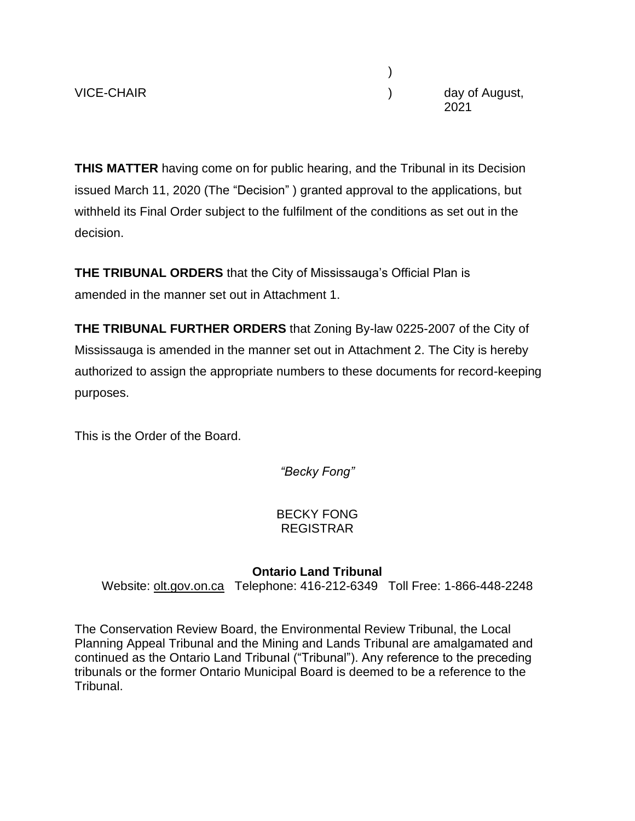VICE-CHAIR (VICE-CHAIR ) day of August, 2021

)

**THIS MATTER** having come on for public hearing, and the Tribunal in its Decision issued March 11, 2020 (The "Decision" ) granted approval to the applications, but withheld its Final Order subject to the fulfilment of the conditions as set out in the decision.

**THE TRIBUNAL ORDERS** that the City of Mississauga's Official Plan is amended in the manner set out in Attachment 1.

**THE TRIBUNAL FURTHER ORDERS** that Zoning By-law 0225-2007 of the City of Mississauga is amended in the manner set out in Attachment 2. The City is hereby authorized to assign the appropriate numbers to these documents for record-keeping purposes.

This is the Order of the Board.

*"Becky Fong"*

## BECKY FONG REGISTRAR

### **Ontario Land Tribunal**

Website: [olt.gov.on.ca](http://www.olt.gov.on.ca/) Telephone: 416-212-6349 Toll Free: 1-866-448-2248

The Conservation Review Board, the Environmental Review Tribunal, the Local Planning Appeal Tribunal and the Mining and Lands Tribunal are amalgamated and continued as the Ontario Land Tribunal ("Tribunal"). Any reference to the preceding tribunals or the former Ontario Municipal Board is deemed to be a reference to the Tribunal.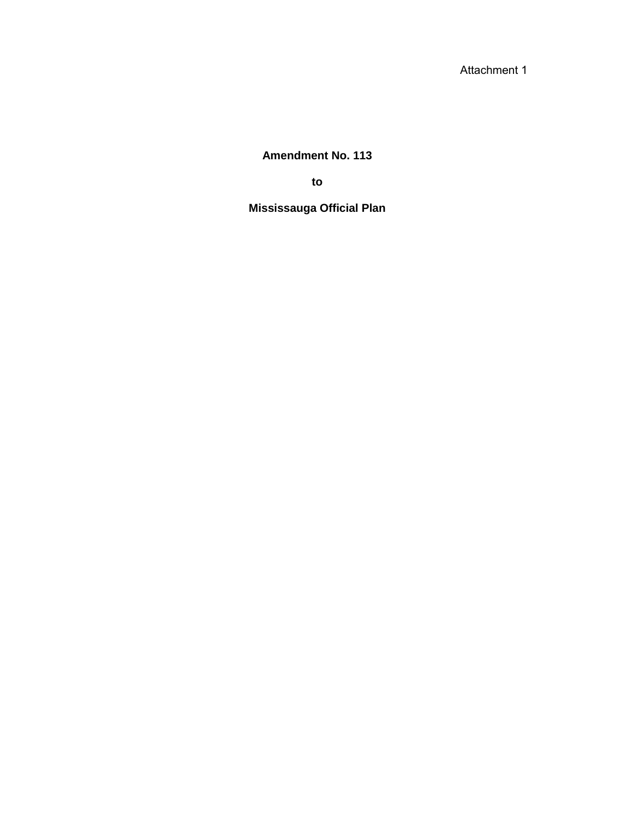Attachment 1

**Amendment No. 113**

**to**

**Mississauga Official Plan**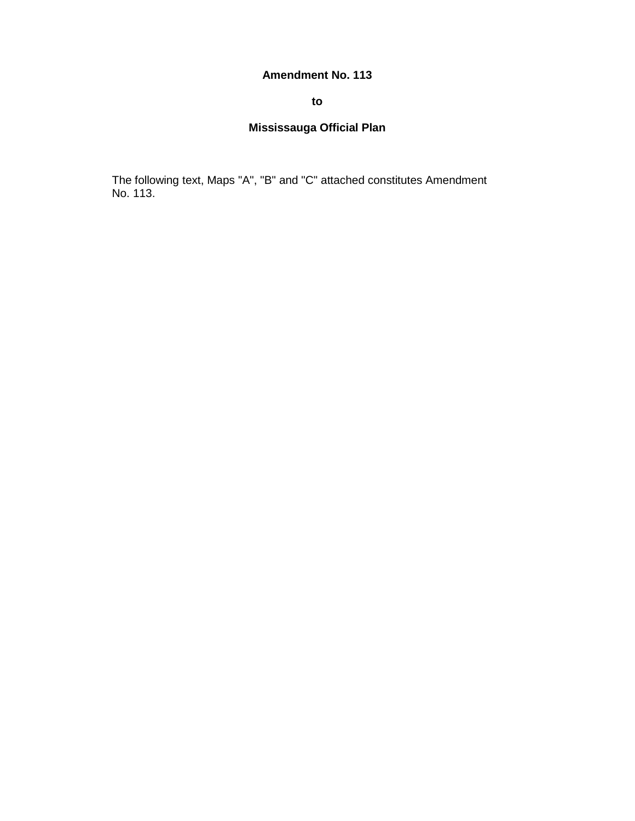#### **Amendment No. 113**

#### **to**

## **Mississauga Official Plan**

The following text, Maps "A", "B" and "C" attached constitutes Amendment No. 113.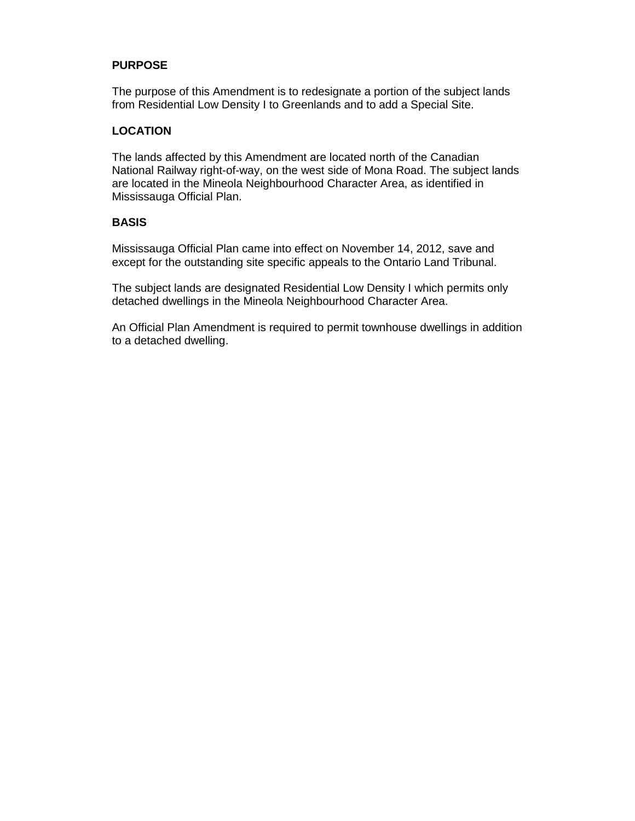#### **PURPOSE**

The purpose of this Amendment is to redesignate a portion of the subject lands from Residential Low Density I to Greenlands and to add a Special Site.

#### **LOCATION**

The lands affected by this Amendment are located north of the Canadian National Railway right-of-way, on the west side of Mona Road. The subject lands are located in the Mineola Neighbourhood Character Area, as identified in Mississauga Official Plan.

#### **BASIS**

Mississauga Official Plan came into effect on November 14, 2012, save and except for the outstanding site specific appeals to the Ontario Land Tribunal.

The subject lands are designated Residential Low Density I which permits only detached dwellings in the Mineola Neighbourhood Character Area.

An Official Plan Amendment is required to permit townhouse dwellings in addition to a detached dwelling.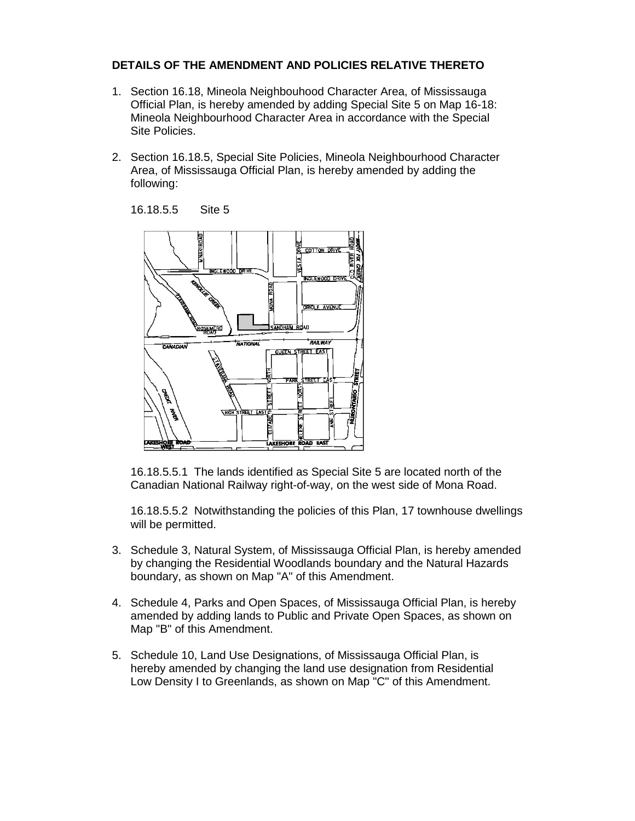#### **DETAILS OF THE AMENDMENT AND POLICIES RELATIVE THERETO**

- 1. Section 16.18, Mineola Neighbouhood Character Area, of Mississauga Official Plan, is hereby amended by adding Special Site 5 on Map 16-18: Mineola Neighbourhood Character Area in accordance with the Special Site Policies.
- 2. Section 16.18.5, Special Site Policies, Mineola Neighbourhood Character Area, of Mississauga Official Plan, is hereby amended by adding the following:

16.18.5.5 Site 5



16.18.5.5.1 The lands identified as Special Site 5 are located north of the Canadian National Railway right-of-way, on the west side of Mona Road.

16.18.5.5.2 Notwithstanding the policies of this Plan, 17 townhouse dwellings will be permitted.

- 3. Schedule 3, Natural System, of Mississauga Official Plan, is hereby amended by changing the Residential Woodlands boundary and the Natural Hazards boundary, as shown on Map "A" of this Amendment.
- 4. Schedule 4, Parks and Open Spaces, of Mississauga Official Plan, is hereby amended by adding lands to Public and Private Open Spaces, as shown on Map "B" of this Amendment.
- 5. Schedule 10, Land Use Designations, of Mississauga Official Plan, is hereby amended by changing the land use designation from Residential Low Density I to Greenlands, as shown on Map "C" of this Amendment.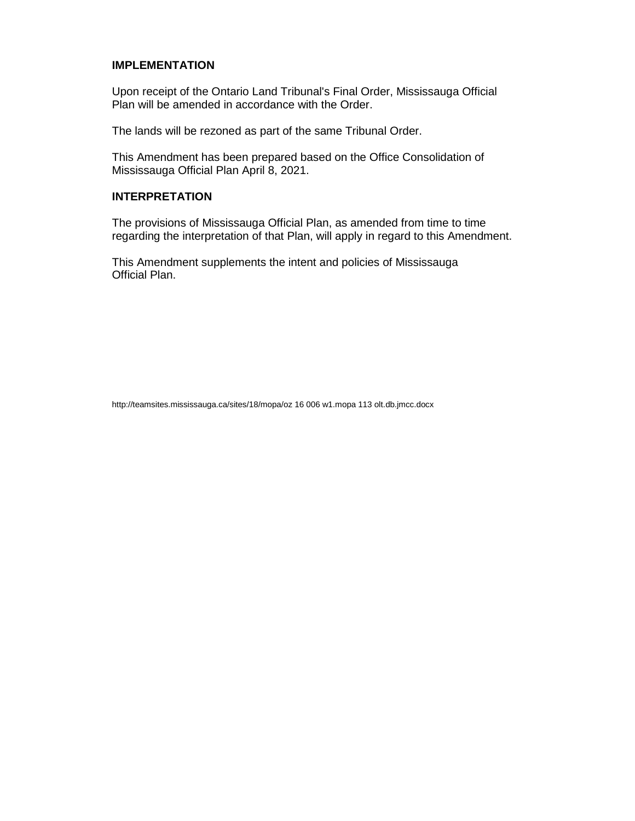#### **IMPLEMENTATION**

Upon receipt of the Ontario Land Tribunal's Final Order, Mississauga Official Plan will be amended in accordance with the Order.

The lands will be rezoned as part of the same Tribunal Order.

This Amendment has been prepared based on the Office Consolidation of Mississauga Official Plan April 8, 2021.

#### **INTERPRETATION**

The provisions of Mississauga Official Plan, as amended from time to time regarding the interpretation of that Plan, will apply in regard to this Amendment.

This Amendment supplements the intent and policies of Mississauga Official Plan.

http://teamsites.mississauga.ca/sites/18/mopa/oz 16 006 w1.mopa 113 olt.db.jmcc.docx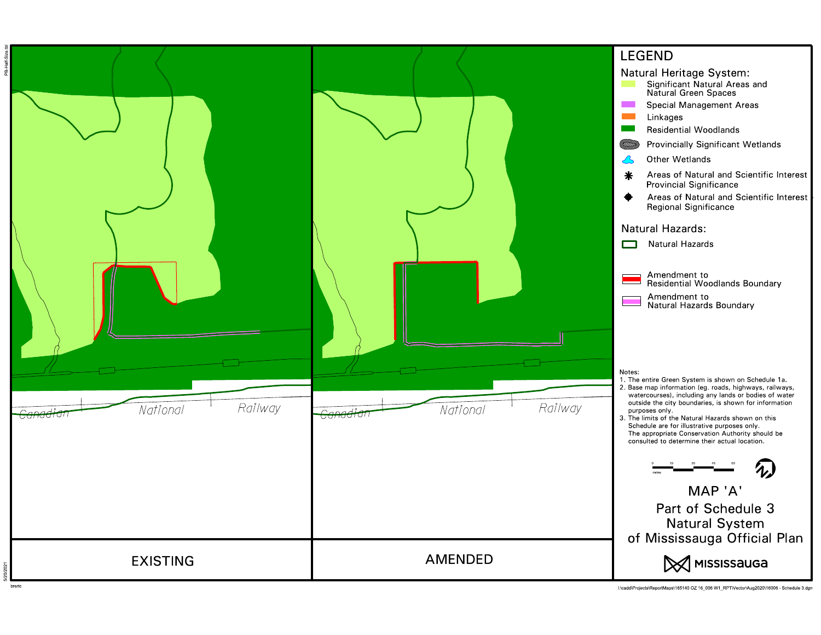

I:\cadd\Projects\ReportMaps\165140 OZ 16\_006 W1\_RPT\Vector\Aug2020\16006 - Schedule 3.dgn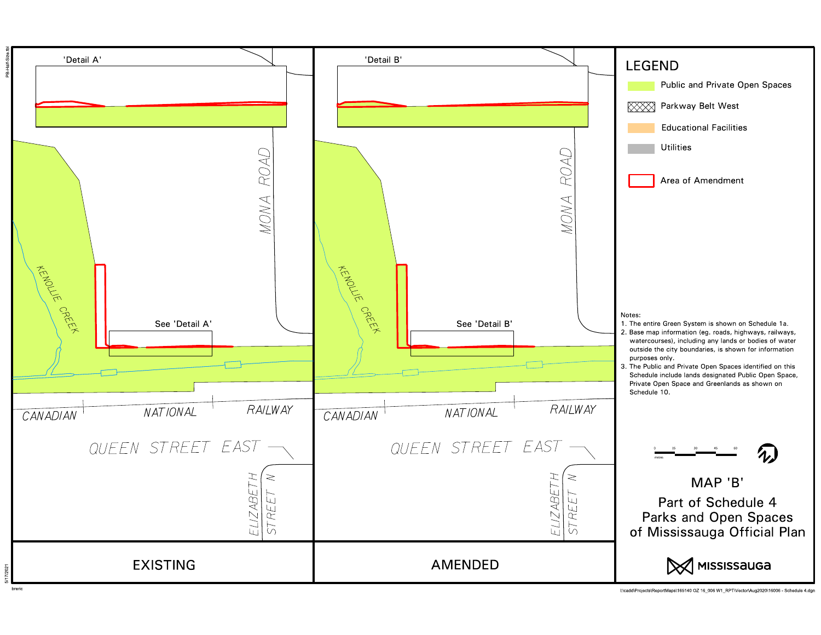